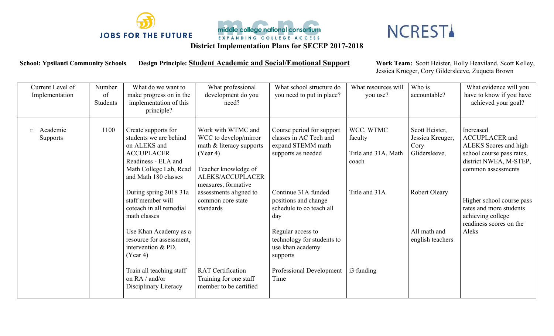



## **NCREST**

**District Implementation Plans for SECEP 2017-2018**

**School: Ypsilanti Community Schools Design Principle: Student Academic and Social/Emotional Support Work Team:** Scott Heister, Holly Heaviland, Scott Kelley,

Jessica Krueger, Cory Gildersleeve, Zuqueta Brown

| Current Level of<br>Implementation | Number<br>of<br>Students | What do we want to<br>make progress on in the<br>implementation of this<br>principle?                                                                       | What professional<br>development do you<br>need?                                                                                                                | What school structure do<br>you need to put in place?                                          | What resources will<br>you use?                      | Who is<br>accountable?                                      | What evidence will you<br>have to know if you have<br>achieved your goal?                                                                |
|------------------------------------|--------------------------|-------------------------------------------------------------------------------------------------------------------------------------------------------------|-----------------------------------------------------------------------------------------------------------------------------------------------------------------|------------------------------------------------------------------------------------------------|------------------------------------------------------|-------------------------------------------------------------|------------------------------------------------------------------------------------------------------------------------------------------|
| Academic<br>$\Box$<br>Supports     | 1100                     | Create supports for<br>students we are behind<br>on ALEKS and<br><b>ACCUPLACER</b><br>Readiness - ELA and<br>Math College Lab, Read<br>and Math 180 classes | Work with WTMC and<br>WCC to develop/mirror<br>math $&$ literacy supports<br>(Year 4)<br>Teacher knowledge of<br><b>ALEKS/ACCUPLACER</b><br>measures, formative | Course period for support<br>classes in AC Tech and<br>expand STEMM math<br>supports as needed | WCC, WTMC<br>faculty<br>Title and 31A, Math<br>coach | Scott Heister,<br>Jessica Kreuger,<br>Cory<br>Glidersleeve, | Increased<br><b>ACCUPLACER</b> and<br>ALEKS Scores and high<br>school course pass rates,<br>district NWEA, M-STEP,<br>common assessments |
|                                    |                          | During spring 2018 31a<br>staff member will<br>coteach in all remedial<br>math classes                                                                      | assessments aligned to<br>common core state<br>standards                                                                                                        | Continue 31A funded<br>positions and change<br>schedule to co teach all<br>day                 | Title and 31A                                        | <b>Robert Oleary</b>                                        | Higher school course pass<br>rates and more students<br>achieving college<br>readiness scores on the                                     |
|                                    |                          | Use Khan Academy as a<br>resource for assessment,<br>intervention & PD.<br>(Year 4)                                                                         |                                                                                                                                                                 | Regular access to<br>technology for students to<br>use khan academy<br>supports                |                                                      | All math and<br>english teachers                            | Aleks                                                                                                                                    |
|                                    |                          | Train all teaching staff<br>on RA / and/or<br>Disciplinary Literacy                                                                                         | <b>RAT</b> Certification<br>Training for one staff<br>member to be certified                                                                                    | Professional Development<br>Time                                                               | i3 funding                                           |                                                             |                                                                                                                                          |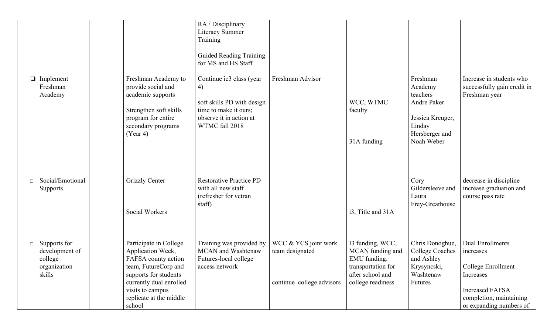|                                                                               |                                                                                                                                                                                                         | RA / Disciplinary<br><b>Literacy Summer</b><br>Training<br>Guided Reading Training<br>for MS and HS Staff                          |                                                                      |                                                                                                                     |                                                                                                              |                                                                                                                                                  |
|-------------------------------------------------------------------------------|---------------------------------------------------------------------------------------------------------------------------------------------------------------------------------------------------------|------------------------------------------------------------------------------------------------------------------------------------|----------------------------------------------------------------------|---------------------------------------------------------------------------------------------------------------------|--------------------------------------------------------------------------------------------------------------|--------------------------------------------------------------------------------------------------------------------------------------------------|
| $\Box$ Implement<br>Freshman<br>Academy                                       | Freshman Academy to<br>provide social and<br>academic supports<br>Strengthen soft skills<br>program for entire<br>secondary programs<br>(Year 4)                                                        | Continue ic3 class (year<br>4)<br>soft skills PD with design<br>time to make it ours;<br>observe it in action at<br>WTMC fall 2018 | Freshman Advisor                                                     | WCC, WTMC<br>faculty<br>31A funding                                                                                 | Freshman<br>Academy<br>teachers<br>Andre Paker<br>Jessica Kreuger,<br>Linday<br>Hersberger and<br>Noah Weber | Increase in students who<br>successfully gain credit in<br>Freshman year                                                                         |
| Social/Emotional<br>$\Box$<br>Supports                                        | <b>Grizzly Center</b><br>Social Workers                                                                                                                                                                 | <b>Restorative Practice PD</b><br>with all new staff<br>(refresher for vetran)<br>staff)                                           |                                                                      | i3, Title and 31A                                                                                                   | Cory<br>Gildersleeve and<br>Laura<br>Frey-Greathouse                                                         | decrease in discipline<br>increase graduation and<br>course pass rate                                                                            |
| Supports for<br>$\Box$<br>development of<br>college<br>organization<br>skills | Participate in College<br>Application Week,<br>FAFSA county action<br>team, FutureCorp and<br>supports for students<br>currently dual enrolled<br>visits to campus<br>replicate at the middle<br>school | Training was provided by<br>MCAN and Washtenaw<br>Futures-local college<br>access network                                          | WCC & YCS joint work<br>team designated<br>continue college advisors | I3 funding, WCC,<br>MCAN funding and<br>EMU funding.<br>transportation for<br>after school and<br>college readiness | Chris Donoghue,<br><b>College Coaches</b><br>and Ashley<br>Krysyncski,<br>Washtenaw<br><b>Futures</b>        | Dual Enrollments<br>increases<br>College Enrollment<br>Increases<br><b>Increased FAFSA</b><br>completion, maintaining<br>or expanding numbers of |